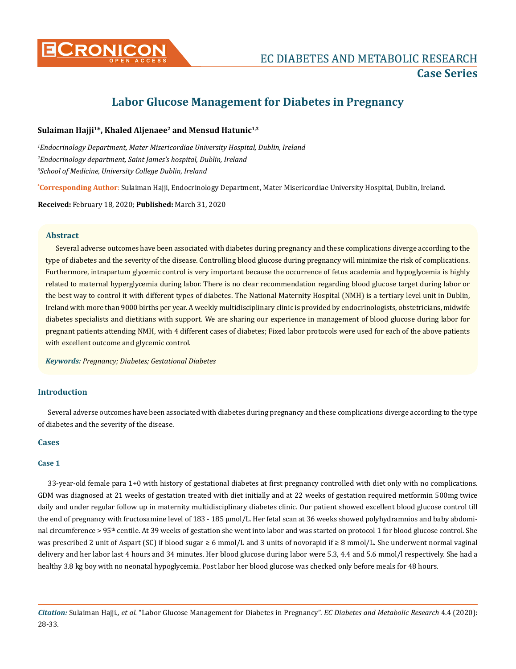

# **Labor Glucose Management for Diabetes in Pregnancy**

## Sulaiman Hajji<sup>1\*</sup>, Khaled Aljenaee<sup>2</sup> and Mensud Hatunic<sup>1,3</sup>

*1 Endocrinology Department, Mater Misericordiae University Hospital, Dublin, Ireland 2 Endocrinology department, Saint James's hospital, Dublin, Ireland 3 School of Medicine, University College Dublin, Ireland* 

**\* Corresponding Author**: Sulaiman Hajji, Endocrinology Department, Mater Misericordiae University Hospital, Dublin, Ireland.

**Received:** February 18, 2020; **Published:** March 31, 2020

#### **Abstract**

Several adverse outcomes have been associated with diabetes during pregnancy and these complications diverge according to the type of diabetes and the severity of the disease. Controlling blood glucose during pregnancy will minimize the risk of complications. Furthermore, intrapartum glycemic control is very important because the occurrence of fetus academia and hypoglycemia is highly related to maternal hyperglycemia during labor. There is no clear recommendation regarding blood glucose target during labor or the best way to control it with different types of diabetes. The National Maternity Hospital (NMH) is a tertiary level unit in Dublin, Ireland with more than 9000 births per year. A weekly multidisciplinary clinic is provided by endocrinologists, obstetricians, midwife diabetes specialists and dietitians with support. We are sharing our experience in management of blood glucose during labor for pregnant patients attending NMH, with 4 different cases of diabetes; Fixed labor protocols were used for each of the above patients with excellent outcome and glycemic control.

*Keywords: Pregnancy; Diabetes; Gestational Diabetes* 

# **Introduction**

Several adverse outcomes have been associated with diabetes during pregnancy and these complications diverge according to the type of diabetes and the severity of the disease.

#### **Cases**

#### **Case 1**

33-year-old female para 1+0 with history of gestational diabetes at first pregnancy controlled with diet only with no complications. GDM was diagnosed at 21 weeks of gestation treated with diet initially and at 22 weeks of gestation required metformin 500mg twice daily and under regular follow up in maternity multidisciplinary diabetes clinic. Our patient showed excellent blood glucose control till the end of pregnancy with fructosamine level of 183 - 185 µmol/L. Her fetal scan at 36 weeks showed polyhydramnios and baby abdominal circumference > 95<sup>th</sup> centile. At 39 weeks of gestation she went into labor and was started on protocol 1 for blood glucose control. She was prescribed 2 unit of Aspart (SC) if blood sugar ≥ 6 mmol/L and 3 units of novorapid if ≥ 8 mmol/L. She underwent normal vaginal delivery and her labor last 4 hours and 34 minutes. Her blood glucose during labor were 5.3, 4.4 and 5.6 mmol/l respectively. She had a healthy 3.8 kg boy with no neonatal hypoglycemia. Post labor her blood glucose was checked only before meals for 48 hours.

*Citation:* Sulaiman Hajji*., et al.* "Labor Glucose Management for Diabetes in Pregnancy". *EC Diabetes and Metabolic Research* 4.4 (2020): 28-33.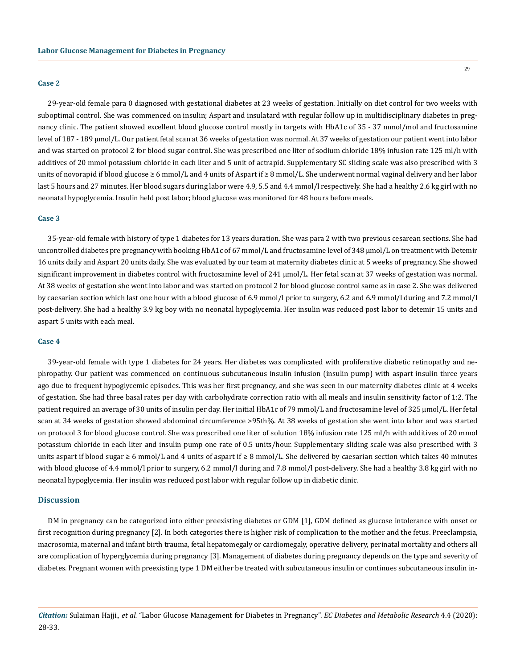#### **Case 2**

29-year-old female para 0 diagnosed with gestational diabetes at 23 weeks of gestation. Initially on diet control for two weeks with suboptimal control. She was commenced on insulin; Aspart and insulatard with regular follow up in multidisciplinary diabetes in pregnancy clinic. The patient showed excellent blood glucose control mostly in targets with HbA1c of 35 - 37 mmol/mol and fructosamine level of 187 - 189 µmol/L. Our patient fetal scan at 36 weeks of gestation was normal. At 37 weeks of gestation our patient went into labor and was started on protocol 2 for blood sugar control. She was prescribed one liter of sodium chloride 18% infusion rate 125 ml/h with additives of 20 mmol potassium chloride in each liter and 5 unit of actrapid. Supplementary SC sliding scale was also prescribed with 3 units of novorapid if blood glucose ≥ 6 mmol/L and 4 units of Aspart if ≥ 8 mmol/L. She underwent normal vaginal delivery and her labor last 5 hours and 27 minutes. Her blood sugars during labor were 4.9, 5.5 and 4.4 mmol/l respectively. She had a healthy 2.6 kg girl with no neonatal hypoglycemia. Insulin held post labor; blood glucose was monitored for 48 hours before meals.

#### **Case 3**

35-year-old female with history of type 1 diabetes for 13 years duration. She was para 2 with two previous cesarean sections. She had uncontrolled diabetes pre pregnancy with booking HbA1c of 67 mmol/L and fructosamine level of 348 µmol/L on treatment with Detemir 16 units daily and Aspart 20 units daily. She was evaluated by our team at maternity diabetes clinic at 5 weeks of pregnancy. She showed significant improvement in diabetes control with fructosamine level of 241 µmol/L. Her fetal scan at 37 weeks of gestation was normal. At 38 weeks of gestation she went into labor and was started on protocol 2 for blood glucose control same as in case 2. She was delivered by caesarian section which last one hour with a blood glucose of 6.9 mmol/l prior to surgery, 6.2 and 6.9 mmol/l during and 7.2 mmol/l post-delivery. She had a healthy 3.9 kg boy with no neonatal hypoglycemia. Her insulin was reduced post labor to detemir 15 units and aspart 5 units with each meal.

#### **Case 4**

39-year-old female with type 1 diabetes for 24 years. Her diabetes was complicated with proliferative diabetic retinopathy and nephropathy. Our patient was commenced on continuous subcutaneous insulin infusion (insulin pump) with aspart insulin three years ago due to frequent hypoglycemic episodes. This was her first pregnancy, and she was seen in our maternity diabetes clinic at 4 weeks of gestation. She had three basal rates per day with carbohydrate correction ratio with all meals and insulin sensitivity factor of 1:2. The patient required an average of 30 units of insulin per day. Her initial HbA1c of 79 mmol/L and fructosamine level of 325 µmol/L. Her fetal scan at 34 weeks of gestation showed abdominal circumference >95th%. At 38 weeks of gestation she went into labor and was started on protocol 3 for blood glucose control. She was prescribed one liter of solution 18% infusion rate 125 ml/h with additives of 20 mmol potassium chloride in each liter and insulin pump one rate of 0.5 units/hour. Supplementary sliding scale was also prescribed with 3 units aspart if blood sugar  $\geq 6$  mmol/L and 4 units of aspart if  $\geq 8$  mmol/L. She delivered by caesarian section which takes 40 minutes with blood glucose of 4.4 mmol/l prior to surgery, 6.2 mmol/l during and 7.8 mmol/l post-delivery. She had a healthy 3.8 kg girl with no neonatal hypoglycemia. Her insulin was reduced post labor with regular follow up in diabetic clinic.

#### **Discussion**

DM in pregnancy can be categorized into either preexisting diabetes or GDM [1], GDM defined as glucose intolerance with onset or first recognition during pregnancy [2]. In both categories there is higher risk of complication to the mother and the fetus. Preeclampsia, macrosomia, maternal and infant birth trauma, fetal hepatomegaly or cardiomegaly, operative delivery, perinatal mortality and others all are complication of hyperglycemia during pregnancy [3]. Management of diabetes during pregnancy depends on the type and severity of diabetes. Pregnant women with preexisting type 1 DM either be treated with subcutaneous insulin or continues subcutaneous insulin in-

*Citation:* Sulaiman Hajji*., et al.* "Labor Glucose Management for Diabetes in Pregnancy". *EC Diabetes and Metabolic Research* 4.4 (2020): 28-33.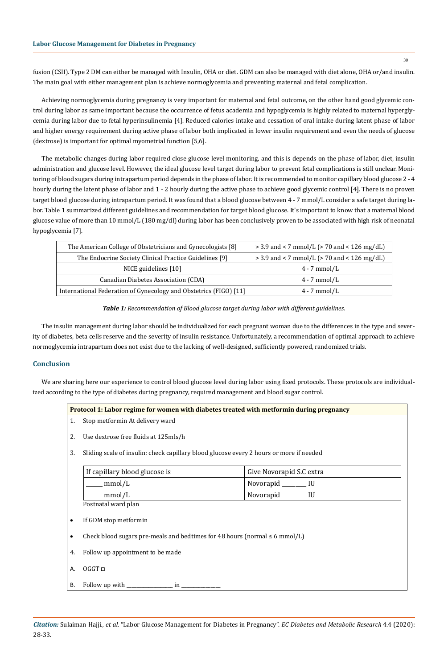fusion (CSII). Type 2 DM can either be managed with Insulin, OHA or diet. GDM can also be managed with diet alone, OHA or/and insulin. The main goal with either management plan is achieve normoglycemia and preventing maternal and fetal complication.

Achieving normoglycemia during pregnancy is very important for maternal and fetal outcome, on the other hand good glycemic control during labor as same important because the occurrence of fetus academia and hypoglycemia is highly related to maternal hyperglycemia during labor due to fetal hyperinsulinemia [4]. Reduced calories intake and cessation of oral intake during latent phase of labor and higher energy requirement during active phase of labor both implicated in lower insulin requirement and even the needs of glucose (dextrose) is important for optimal myometrial function [5,6].

The metabolic changes during labor required close glucose level monitoring, and this is depends on the phase of labor, diet, insulin administration and glucose level. However, the ideal glucose level target during labor to prevent fetal complications is still unclear. Monitoring of blood sugars during intrapartum period depends in the phase of labor. It is recommended to monitor capillary blood glucose 2 - 4 hourly during the latent phase of labor and 1 - 2 hourly during the active phase to achieve good glycemic control [4]. There is no proven target blood glucose during intrapartum period. It was found that a blood glucose between 4 - 7 mmol/L consider a safe target during labor. Table 1 summarized different guidelines and recommendation for target blood glucose. It's important to know that a maternal blood glucose value of more than 10 mmol/L (180 mg/dl) during labor has been conclusively proven to be associated with high risk of neonatal hypoglycemia [7].

| The American College of Obstetricians and Gynecologists [8]       | $>$ 3.9 and < 7 mmol/L ( $>$ 70 and < 126 mg/dL) |
|-------------------------------------------------------------------|--------------------------------------------------|
| The Endocrine Society Clinical Practice Guidelines [9]            | $>$ 3.9 and < 7 mmol/L ( $>$ 70 and < 126 mg/dL) |
| NICE guidelines [10]                                              | $4 - 7$ mmol/L                                   |
| Canadian Diabetes Association (CDA)                               | $4 - 7$ mmol/L                                   |
| International Federation of Gynecology and Obstetrics (FIGO) [11] | $4 - 7$ mmol/L                                   |



The insulin management during labor should be individualized for each pregnant woman due to the differences in the type and severity of diabetes, beta cells reserve and the severity of insulin resistance. Unfortunately, a recommendation of optimal approach to achieve normoglycemia intrapartum does not exist due to the lacking of well-designed, sufficiently powered, randomized trials.

# **Conclusion**

We are sharing here our experience to control blood glucose level during labor using fixed protocols. These protocols are individualized according to the type of diabetes during pregnancy, required management and blood sugar control.

| <b>Protocol 1: Labor regime for women with diabetes treated with metformin during pregnancy</b> |
|-------------------------------------------------------------------------------------------------|
|                                                                                                 |
|                                                                                                 |

- 1. Stop metformin At delivery ward
- 2. Use dextrose free fluids at 125mls/h
- 3. Sliding scale of insulin: check capillary blood glucose every 2 hours or more if needed

| If capillary blood glucose is | Give Novorapid S.C extra |
|-------------------------------|--------------------------|
| mmol/L                        | Novorapid                |
| mmol/L                        | Novorapid                |
| Postnatal ward plan           |                          |

- If GDM stop metformin
- Check blood sugars pre-meals and bedtimes for 48 hours (normal  $\leq 6$  mmol/L)
- 4. Follow up appointment to be made
- A. OGGT □
- B. Follow up with \_\_\_\_\_\_\_\_\_\_\_\_\_\_\_\_\_\_\_ in \_\_\_\_\_\_\_\_\_\_\_\_\_\_\_\_

30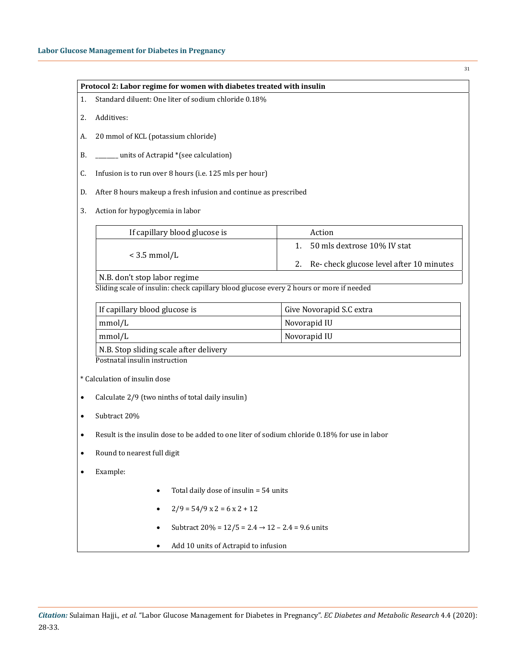| Standard diluent: One liter of sodium chloride 0.18%<br>1.                                                              | Protocol 2: Labor regime for women with diabetes treated with insulin |
|-------------------------------------------------------------------------------------------------------------------------|-----------------------------------------------------------------------|
| Additives:<br>2.                                                                                                        |                                                                       |
| 20 mmol of KCL (potassium chloride)<br>А.                                                                               |                                                                       |
| units of Actrapid *(see calculation)<br>В.                                                                              |                                                                       |
| Infusion is to run over 8 hours (i.e. 125 mls per hour)<br>C.                                                           |                                                                       |
| After 8 hours makeup a fresh infusion and continue as prescribed<br>D.                                                  |                                                                       |
| Action for hypoglycemia in labor<br>3.                                                                                  |                                                                       |
| If capillary blood glucose is                                                                                           | Action                                                                |
| $<$ 3.5 mmol/L                                                                                                          | 50 mls dextrose 10% IV stat<br>1 <sub>1</sub>                         |
|                                                                                                                         | Re-check glucose level after 10 minutes<br>2.                         |
| N.B. don't stop labor regime<br>Sliding scale of insulin: check capillary blood glucose every 2 hours or more if needed |                                                                       |
|                                                                                                                         |                                                                       |
| If capillary blood glucose is                                                                                           | Give Novorapid S.C extra                                              |
| mmol/L                                                                                                                  | Novorapid IU                                                          |
| mmol/L                                                                                                                  | Novorapid IU                                                          |
| N.B. Stop sliding scale after delivery                                                                                  |                                                                       |
| Postnatal insulin instruction                                                                                           |                                                                       |
| * Calculation of insulin dose                                                                                           |                                                                       |
| Calculate 2/9 (two ninths of total daily insulin)                                                                       |                                                                       |
| Subtract 20%                                                                                                            |                                                                       |
| Result is the insulin dose to be added to one liter of sodium chloride 0.18% for use in labor                           |                                                                       |
| Round to nearest full digit                                                                                             |                                                                       |
| Example:                                                                                                                |                                                                       |
| Total daily dose of insulin = 54 units                                                                                  |                                                                       |
|                                                                                                                         |                                                                       |
| $2/9 = 54/9$ x 2 = 6 x 2 + 12                                                                                           |                                                                       |
| Subtract $20\% = 12/5 = 2.4 \rightarrow 12 - 2.4 = 9.6$ units                                                           |                                                                       |

*Citation:* Sulaiman Hajji*., et al.* "Labor Glucose Management for Diabetes in Pregnancy". *EC Diabetes and Metabolic Research* 4.4 (2020): 28-33.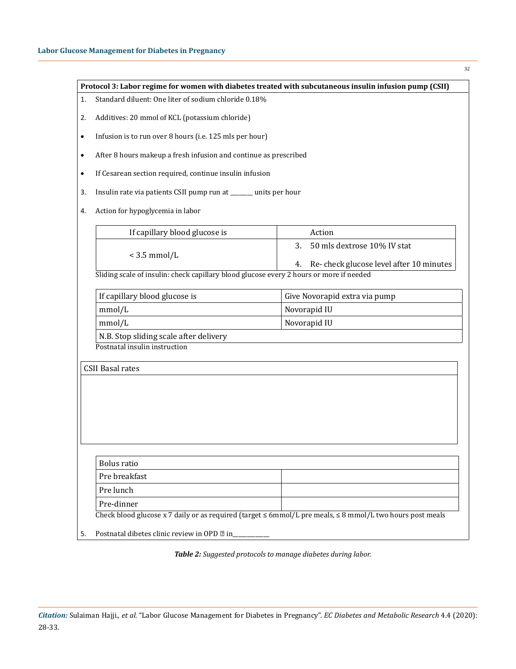32

| 1.        | Standard diluent: One liter of sodium chloride 0.18%                                                      |                                                                                    |
|-----------|-----------------------------------------------------------------------------------------------------------|------------------------------------------------------------------------------------|
| 2.        | Additives: 20 mmol of KCL (potassium chloride)                                                            |                                                                                    |
| $\bullet$ | Infusion is to run over 8 hours (i.e. 125 mls per hour)                                                   |                                                                                    |
| $\bullet$ | After 8 hours makeup a fresh infusion and continue as prescribed                                          |                                                                                    |
| $\bullet$ | If Cesarean section required, continue insulin infusion                                                   |                                                                                    |
| 3.        | Insulin rate via patients CSII pump run at ______ units per hour                                          |                                                                                    |
| 4.        | Action for hypoglycemia in labor                                                                          |                                                                                    |
|           | If capillary blood glucose is                                                                             | Action                                                                             |
|           | $<$ 3.5 mmol/L<br>Sliding scale of insulin: check capillary blood glucose every 2 hours or more if needed | 50 mls dextrose 10% IV stat<br>3.<br>Re-check glucose level after 10 minutes<br>4. |
|           | If capillary blood glucose is                                                                             | Give Novorapid extra via pump                                                      |
|           | mmol/L                                                                                                    |                                                                                    |
|           |                                                                                                           | Novorapid IU                                                                       |
|           | mmol/L<br>N.B. Stop sliding scale after delivery                                                          | Novorapid IU                                                                       |
|           | Postnatal insulin instruction<br><b>CSII Basal rates</b>                                                  |                                                                                    |
|           | <b>Bolus</b> ratio                                                                                        |                                                                                    |
|           | Pre breakfast                                                                                             |                                                                                    |
|           | Pre lunch<br>Pre-dinner                                                                                   |                                                                                    |

*Table 2: Suggested protocols to manage diabetes during labor.*